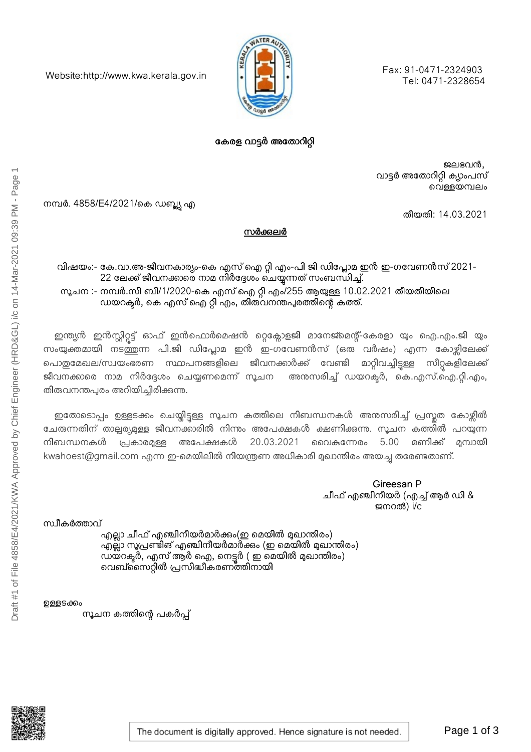Fax: 91-0471-2324903 Tel: 0471-2328654



## കേരള വാട്ടർ അതോറിറ്റി

ജലഭവൻ, വാട്ടർ അതോറിറ്റി ക്യാംപസ് വെള്ളയമ്പലം

തീയതി: 14.03.2021

നമ്പർ. 4858/E4/2021/കെ ഡബ്ല്യു എ

Website:http://www.kwa.kerala.gov.in

സർക്കലർ

വിഷയം:- കേ.വാ.അ-ജീവനകാര്യം-കെ എസ് ഐ റ്റി എം-പി ജി ഡിപ്ലോമ ഇൻ ഇ-ഗവേണൻസ് 2021-22 ലേക്ക് ജീവനക്കാരെ നാമ നിർദ്ദേശം ചെയ്യന്നത് സംബന്ധിച്ച്. സൂചന :- നമ്പർ.സി ബി/1/2020-കെ എസ് ഐ റ്റി എം/255 ആയുള്ള 10.02.2021 തീയതിയിലെ ഡയറക്ടർ, കെ എസ് ഐ റ്റി എം, തിരുവനന്തപുരത്തിന്റെ കത്ത്.

ഇന്ത്യൻ ഇൻസ്റ്റിറ്റട്ട് ഓഫ് ഇൻഫൊർമെഷൻ റ്റെക്ലോളജി മാനേജ്മെന്റ്-കേരളാ യും ഐ.എം.ജി യും സംയുക്തമായി നടത്തന്ന പി.ജി ഡിപ്ലോമ ഇൻ ഇ-ഗവേണൻസ് (ഒരു വർഷം) എന്ന കോഴ്ലിലേക്ക് പൊതുമേഖല/സ്വയംഭരണ സ്ഥാപനങ്ങളിലെ ജീവനക്കാർക്ക് വേണ്ടി മാറ്റിവച്ചിട്ടള്ള സീറ്റകളിലേക്ക് ജീവനക്കാരെ നാമ നിർദ്ദേശം ചെയ്യണമെന്ന് സൂചന അനുസരിച്ച് ഡയറക്ടർ, കെ.എസ്.ഐ.റ്റി.എം, തിരുവനന്തപുരം അറിയിച്ചിരിക്കുന്നു.

ഇതോടൊപ്പം ഉള്ളടക്കം ചെയ്തിട്ടള്ള സൂചന കത്തിലെ നിബന്ധനകൾ അനുസരിച്ച് പ്രസ്തത കോഴ്ലിൽ ചേരുന്നതിന് താല്പര്യമുള്ള ജീവനക്കാരിൽ നിന്നം അപേക്ഷകൾ ക്ഷണിക്കുന്നു. സൂചന കത്തിൽ പറയുന്ന നിബന്ധനകൾ പ്രകാരമുള്ള അപേക്ഷകൾ 20.03.2021 വൈകന്നേരം 5.00 മണിക്ക് ായി kwahoest@gmail.com എന്ന ഇ-മെയിലിൽ നിയന്ത്രണ അധികാരി മുഖാന്തിരം അയച്ച തരേണ്ടതാണ്.

> Gireesan P ചീഫ് എഞ്ചിനീയർ (എച്ച് ആർ ഡി & ജനറൽ) i/c

സ്ഥീകർത്താവ്<br>എല്ലാ ചീഫ് എഞ്ചിനീയർമാർക്കം(ഇ മെയിൽ മുഖാന്തിരം) എല്ലാ സൂപ്രണ്ടിങ് എഞ്ചിനീയർമാർക്കം (ഇ മെയിൽ മുഖാന്തിരം) ഡയ്റക്ടർ, എസ് ആർ ഐ, നെട്ടർ ( ഇ മെയിൽ മുഖാന്തിരം) വെബ്സൈറ്റിൽ പ്രസിദ്ധീകരണത്തിനായി

ഉള്ളടക്കം

ന്ദൂചന കത്തിന്റെ പകർപ്പ്

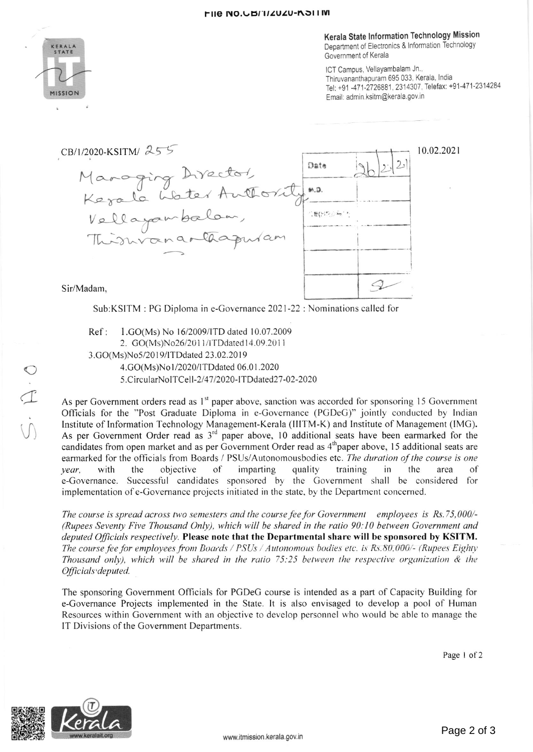

Kerala State lnformation Technology Mission Department of Electronics & lnformation Technology Government of Kerala

ICT Campus, Vellayambalam Jn., Thiruvananthapuram 695 033, Kerala, lndia Tel: +91 -471-2726881, 2314307, Telefax: +91-471-2314284 Email: admin.ksitm@kerala.gov.in



Sub:KSITM : PC Diploma in e-Covernance 2021-22 : Nominations called for

Ref: 1.GO(Ms) No 16/2009/ITD dated 10.07.2009 2. GO(Ms)No26/2011/ITDdated 14.09.2011 3.GO(Ms)No5/2019/ITDdated 23.02.2019 4.GO(Ms)No l /2020/rTDdared 06.01 .2020 5.CircularNoITCell-2/47/2020-ITDdated27-02-2020

As per Government orders read as 1<sup>st</sup> paper above, sanction was accorded for sponsoring 15 Government Officials for the "Post Graduate Diploma in e-Govemance (PCDeC)" jointly conducted by Indian lnstitute of lnformation Technology Management-Kerala (lllTM-K) and lnstitute of Management (lMC). As per Government Order read as 3<sup>rd</sup> paper above, 10 additional seats have been earmarked for the candidates from open market and as per Government Order read as 4<sup>th</sup> paper above, 15 additional seats are earmarked for the officials from Boards / PSUs/Autonomousbodies etc. The duration of the course is one year, with the objective of imparting quality training in the area of e-Governance. Successful candidates sponsored by the Government shall be considered for implementation ofe-Covemance projects initiated in the slate, by the Department concerned.

The course is spread across two semesters and the course fee for Government employees is Rs.75,000/-(Rupees Seventy Five Thousand Only), which will be shared in the ratio 90:10 between Government and deputed Officials respectively. Please note that the Departmental share will be sponsored by KSITM. The course fee for employees from Boards / PSUs / Autonomous bodies etc. is  $Rs.80,000/$ - (Rupees Eighty Thousand only), which will be shared in the ratio 75:25 between the respective organization  $\&$  the Officials'deputed.

The sponsoring Covemment Officials for PGDeG course is intended as a part of Capacity Building for e-Govemance Projects implemented in the State. It is also envisaged to develop a pool of Human Resources within Government with an objective to develop personnel w'ho would be able to manage the IT Divisions of the Government Departments.

Page I of 2



Draft #1 of File 4858/E4/2021/KWA Approved by Chief Engineer (HRD&GL) i/c on 14-Mar-2021 09:39 PM - Page 2

 $\circ$ 

 $\frac{1}{\sqrt{2}}$ 

 $\bigcup$